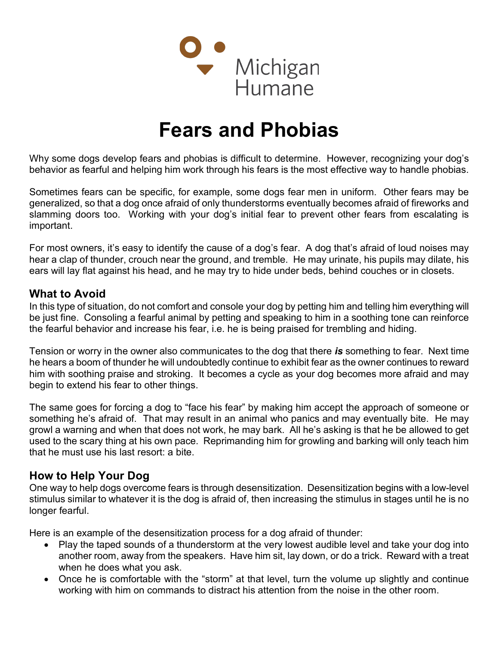

# Fears and Phobias

Why some dogs develop fears and phobias is difficult to determine. However, recognizing your dog's behavior as fearful and helping him work through his fears is the most effective way to handle phobias.

Sometimes fears can be specific, for example, some dogs fear men in uniform. Other fears may be generalized, so that a dog once afraid of only thunderstorms eventually becomes afraid of fireworks and slamming doors too. Working with your dog's initial fear to prevent other fears from escalating is important.

For most owners, it's easy to identify the cause of a dog's fear. A dog that's afraid of loud noises may hear a clap of thunder, crouch near the ground, and tremble. He may urinate, his pupils may dilate, his ears will lay flat against his head, and he may try to hide under beds, behind couches or in closets.

#### What to Avoid

In this type of situation, do not comfort and console your dog by petting him and telling him everything will be just fine. Consoling a fearful animal by petting and speaking to him in a soothing tone can reinforce the fearful behavior and increase his fear, i.e. he is being praised for trembling and hiding.

Tension or worry in the owner also communicates to the dog that there is something to fear. Next time he hears a boom of thunder he will undoubtedly continue to exhibit fear as the owner continues to reward him with soothing praise and stroking. It becomes a cycle as your dog becomes more afraid and may begin to extend his fear to other things.

The same goes for forcing a dog to "face his fear" by making him accept the approach of someone or something he's afraid of. That may result in an animal who panics and may eventually bite. He may growl a warning and when that does not work, he may bark. All he's asking is that he be allowed to get used to the scary thing at his own pace. Reprimanding him for growling and barking will only teach him that he must use his last resort: a bite.

## How to Help Your Dog

One way to help dogs overcome fears is through desensitization. Desensitization begins with a low-level stimulus similar to whatever it is the dog is afraid of, then increasing the stimulus in stages until he is no longer fearful.

Here is an example of the desensitization process for a dog afraid of thunder:

- Play the taped sounds of a thunderstorm at the very lowest audible level and take your dog into another room, away from the speakers. Have him sit, lay down, or do a trick. Reward with a treat when he does what you ask.
- Once he is comfortable with the "storm" at that level, turn the volume up slightly and continue working with him on commands to distract his attention from the noise in the other room.